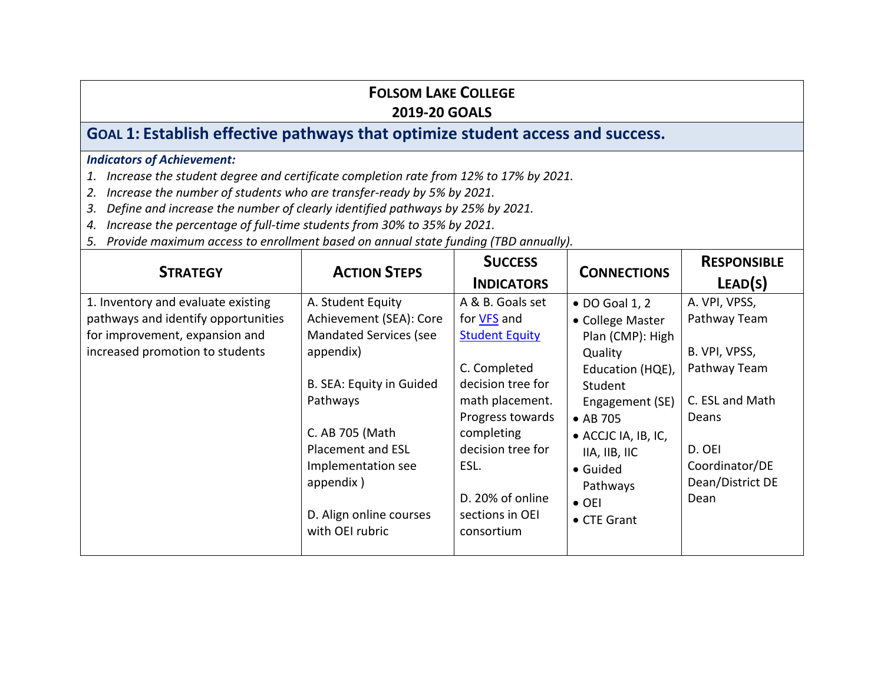# **GOAL 1: Establish effective pathways that optimize student access and success.**

- *1. Increase the student degree and certificate completion rate from 12% to 17% by 2021.*
- *2. Increase the number of students who are transfer-ready by 5% by 2021.*
- *3. Define and increase the number of clearly identified pathways by 25% by 2021.*
- *4. Increase the percentage of full-time students from 30% to 35% by 2021.*
- *5. Provide maximum access to enrollment based on annual state funding (TBD annually).*

| <b>STRATEGY</b>                                                                                                                                | <b>ACTION STEPS</b>                                                                                                                                                                                                                                         | <b>SUCCESS</b><br><b>INDICATORS</b>                                                                                                                                                                                                         | <b>CONNECTIONS</b>                                                                                                                                                                                                              | <b>RESPONSIBLE</b><br>LEAD(S)                                                                                                                      |
|------------------------------------------------------------------------------------------------------------------------------------------------|-------------------------------------------------------------------------------------------------------------------------------------------------------------------------------------------------------------------------------------------------------------|---------------------------------------------------------------------------------------------------------------------------------------------------------------------------------------------------------------------------------------------|---------------------------------------------------------------------------------------------------------------------------------------------------------------------------------------------------------------------------------|----------------------------------------------------------------------------------------------------------------------------------------------------|
| 1. Inventory and evaluate existing<br>pathways and identify opportunities<br>for improvement, expansion and<br>increased promotion to students | A. Student Equity<br>Achievement (SEA): Core<br><b>Mandated Services (see</b><br>appendix)<br>B. SEA: Equity in Guided<br>Pathways<br>C. AB 705 (Math<br>Placement and ESL<br>Implementation see<br>appendix)<br>D. Align online courses<br>with OEI rubric | A & B. Goals set<br>for <b>VFS</b> and<br><b>Student Equity</b><br>C. Completed<br>decision tree for<br>math placement.<br>Progress towards<br>completing<br>decision tree for<br>ESL.<br>D. 20% of online<br>sections in OEI<br>consortium | • DO Goal 1, 2<br>• College Master<br>Plan (CMP): High<br>Quality<br>Education (HQE),<br>Student<br>Engagement (SE)<br>• AB 705<br>• ACCJC IA, IB, IC,<br>IIA, IIB, IIC<br>• Guided<br>Pathways<br>$\bullet$ OEI<br>• CTE Grant | A. VPI, VPSS,<br>Pathway Team<br>B. VPI, VPSS,<br>Pathway Team<br>C. ESL and Math<br>Deans<br>D. OEI<br>Coordinator/DE<br>Dean/District DE<br>Dean |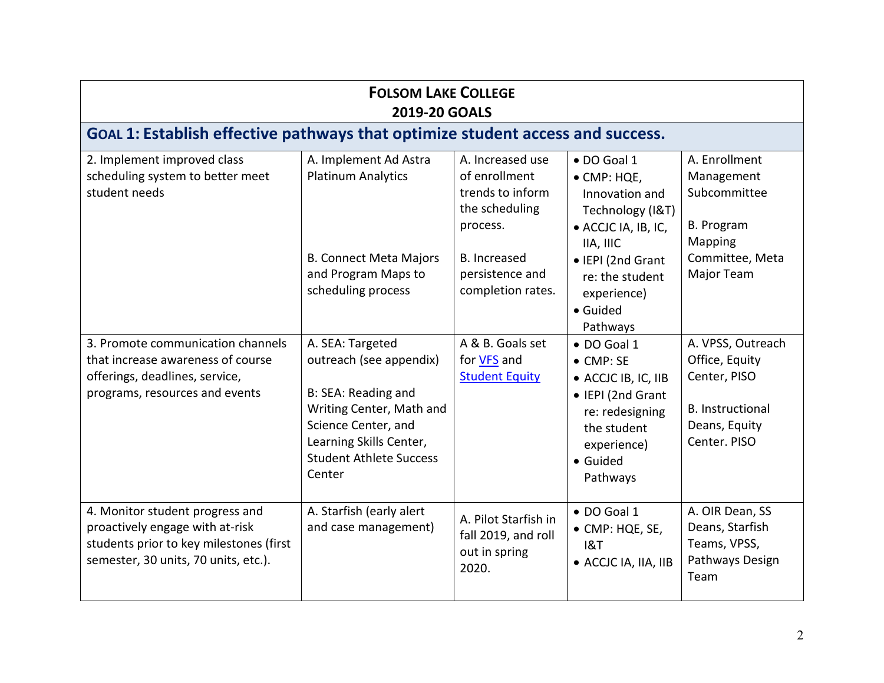| <b>FOLSOM LAKE COLLEGE</b><br><b>2019-20 GOALS</b>                                                                                                    |                                                                                                                                                                                              |                                                                                     |                                                                                                                                                       |                                                                                                                 |
|-------------------------------------------------------------------------------------------------------------------------------------------------------|----------------------------------------------------------------------------------------------------------------------------------------------------------------------------------------------|-------------------------------------------------------------------------------------|-------------------------------------------------------------------------------------------------------------------------------------------------------|-----------------------------------------------------------------------------------------------------------------|
| GOAL 1: Establish effective pathways that optimize student access and success.                                                                        |                                                                                                                                                                                              |                                                                                     |                                                                                                                                                       |                                                                                                                 |
| 2. Implement improved class<br>scheduling system to better meet<br>student needs                                                                      | A. Implement Ad Astra<br><b>Platinum Analytics</b>                                                                                                                                           | A. Increased use<br>of enrollment<br>trends to inform<br>the scheduling<br>process. | · DO Goal 1<br>• CMP: HQE,<br>Innovation and<br>Technology (I&T)<br>• ACCJC IA, IB, IC,<br>IIA, IIIC                                                  | A. Enrollment<br>Management<br>Subcommittee<br><b>B.</b> Program<br>Mapping                                     |
|                                                                                                                                                       | <b>B. Connect Meta Majors</b><br>and Program Maps to<br>scheduling process                                                                                                                   | <b>B.</b> Increased<br>persistence and<br>completion rates.                         | • IEPI (2nd Grant<br>re: the student<br>experience)<br>• Guided<br>Pathways                                                                           | Committee, Meta<br>Major Team                                                                                   |
| 3. Promote communication channels<br>that increase awareness of course<br>offerings, deadlines, service,<br>programs, resources and events            | A. SEA: Targeted<br>outreach (see appendix)<br>B: SEA: Reading and<br>Writing Center, Math and<br>Science Center, and<br>Learning Skills Center,<br><b>Student Athlete Success</b><br>Center | A & B. Goals set<br>for VFS and<br><b>Student Equity</b>                            | • DO Goal 1<br>$\bullet$ CMP: SE<br>• ACCJC IB, IC, IIB<br>• IEPI (2nd Grant<br>re: redesigning<br>the student<br>experience)<br>• Guided<br>Pathways | A. VPSS, Outreach<br>Office, Equity<br>Center, PISO<br><b>B.</b> Instructional<br>Deans, Equity<br>Center. PISO |
| 4. Monitor student progress and<br>proactively engage with at-risk<br>students prior to key milestones (first<br>semester, 30 units, 70 units, etc.). | A. Starfish (early alert<br>and case management)                                                                                                                                             | A. Pilot Starfish in<br>fall 2019, and roll<br>out in spring<br>2020.               | · DO Goal 1<br>• CMP: HQE, SE,<br>18T<br>• ACCJC IA, IIA, IIB                                                                                         | A. OIR Dean, SS<br>Deans, Starfish<br>Teams, VPSS,<br>Pathways Design<br>Team                                   |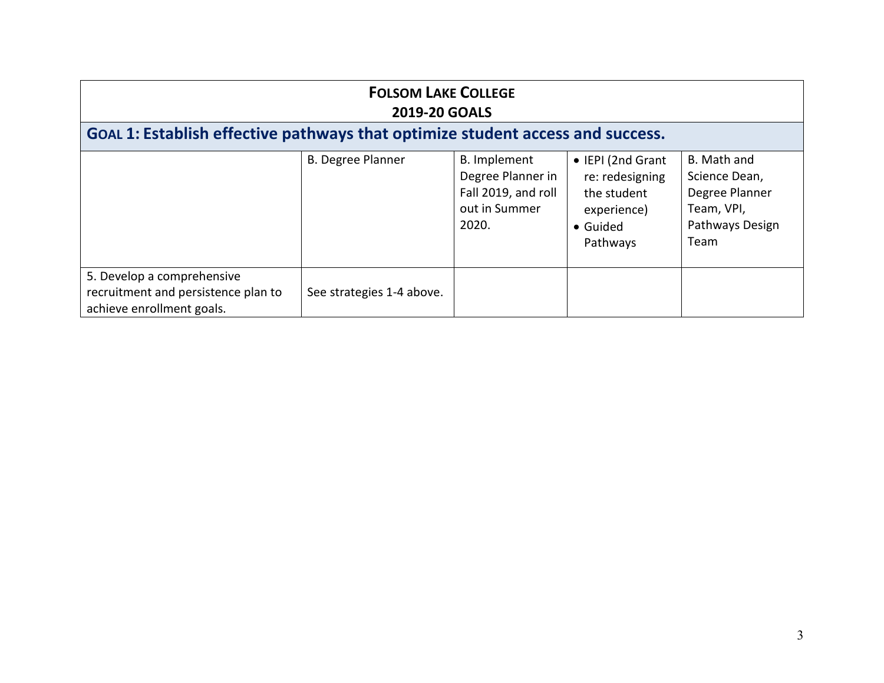| <b>FOLSOM LAKE COLLEGE</b><br><b>2019-20 GOALS</b>                                             |                           |                                                                                    |                                                                                            |                                                                                         |
|------------------------------------------------------------------------------------------------|---------------------------|------------------------------------------------------------------------------------|--------------------------------------------------------------------------------------------|-----------------------------------------------------------------------------------------|
| GOAL 1: Establish effective pathways that optimize student access and success.                 |                           |                                                                                    |                                                                                            |                                                                                         |
|                                                                                                | <b>B. Degree Planner</b>  | B. Implement<br>Degree Planner in<br>Fall 2019, and roll<br>out in Summer<br>2020. | • IEPI (2nd Grant<br>re: redesigning<br>the student<br>experience)<br>• Guided<br>Pathways | B. Math and<br>Science Dean,<br>Degree Planner<br>Team, VPI,<br>Pathways Design<br>Team |
| 5. Develop a comprehensive<br>recruitment and persistence plan to<br>achieve enrollment goals. | See strategies 1-4 above. |                                                                                    |                                                                                            |                                                                                         |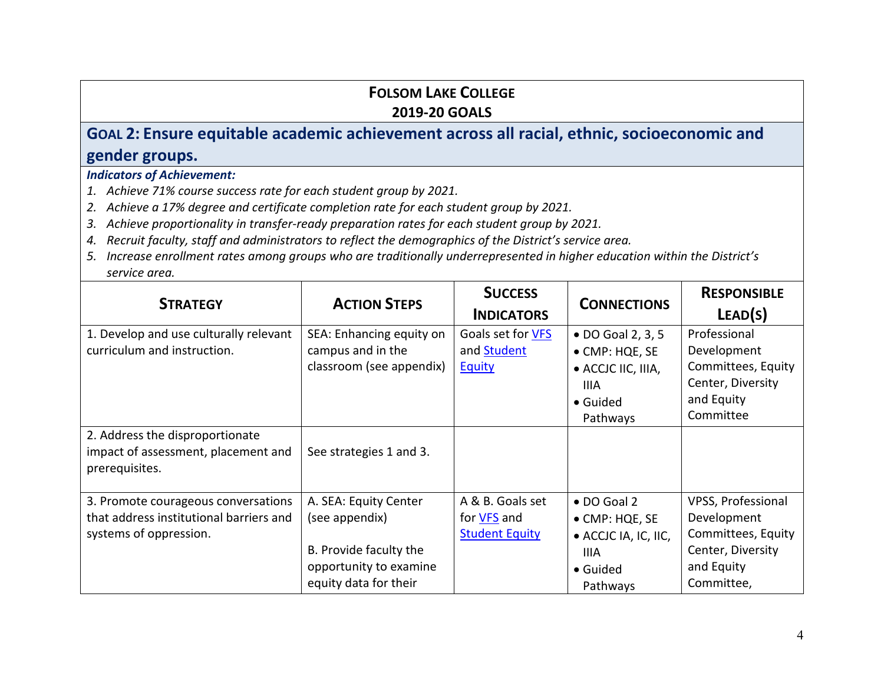# **GOAL 2: Ensure equitable academic achievement across all racial, ethnic, socioeconomic and gender groups.**

- *1. Achieve 71% course success rate for each student group by 2021.*
- *2. Achieve a 17% degree and certificate completion rate for each student group by 2021.*
- *3. Achieve proportionality in transfer-ready preparation rates for each student group by 2021.*
- *4. Recruit faculty, staff and administrators to reflect the demographics of the District's service area.*
- *5. Increase enrollment rates among groups who are traditionally underrepresented in higher education within the District's service area.*

| <b>STRATEGY</b>                                                                                          | <b>ACTION STEPS</b>                                                                                                  | <b>SUCCESS</b><br><b>INDICATORS</b>                             | <b>CONNECTIONS</b>                                                                                   | <b>RESPONSIBLE</b><br>LEAD(S)                                                                            |
|----------------------------------------------------------------------------------------------------------|----------------------------------------------------------------------------------------------------------------------|-----------------------------------------------------------------|------------------------------------------------------------------------------------------------------|----------------------------------------------------------------------------------------------------------|
| 1. Develop and use culturally relevant<br>curriculum and instruction.                                    | SEA: Enhancing equity on<br>campus and in the<br>classroom (see appendix)                                            | Goals set for VFS<br>and <b>Student</b><br><b>Equity</b>        | • DO Goal 2, 3, 5<br>• CMP: HQE, SE<br>• ACCJC IIC, IIIA,<br><b>IIIA</b><br>• Guided<br>Pathways     | Professional<br>Development<br>Committees, Equity<br>Center, Diversity<br>and Equity<br>Committee        |
| 2. Address the disproportionate<br>impact of assessment, placement and<br>prerequisites.                 | See strategies 1 and 3.                                                                                              |                                                                 |                                                                                                      |                                                                                                          |
| 3. Promote courageous conversations<br>that address institutional barriers and<br>systems of oppression. | A. SEA: Equity Center<br>(see appendix)<br>B. Provide faculty the<br>opportunity to examine<br>equity data for their | A & B. Goals set<br>for <b>VFS</b> and<br><b>Student Equity</b> | $\bullet$ DO Goal 2<br>• CMP: HQE, SE<br>• ACCJC IA, IC, IIC,<br><b>IIIA</b><br>• Guided<br>Pathways | VPSS, Professional<br>Development<br>Committees, Equity<br>Center, Diversity<br>and Equity<br>Committee, |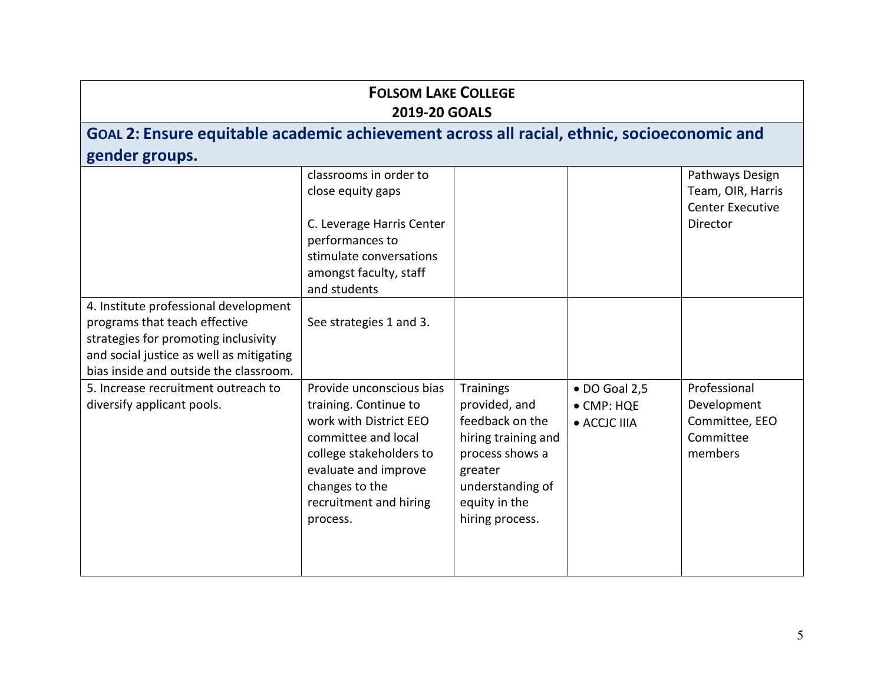# **GOAL 2: Ensure equitable academic achievement across all racial, ethnic, socioeconomic and gender groups.**

|                                          | classrooms in order to    |                     |                       | Pathways Design         |
|------------------------------------------|---------------------------|---------------------|-----------------------|-------------------------|
|                                          | close equity gaps         |                     |                       | Team, OIR, Harris       |
|                                          |                           |                     |                       |                         |
|                                          |                           |                     |                       | <b>Center Executive</b> |
|                                          | C. Leverage Harris Center |                     |                       | Director                |
|                                          | performances to           |                     |                       |                         |
|                                          | stimulate conversations   |                     |                       |                         |
|                                          | amongst faculty, staff    |                     |                       |                         |
|                                          | and students              |                     |                       |                         |
| 4. Institute professional development    |                           |                     |                       |                         |
| programs that teach effective            | See strategies 1 and 3.   |                     |                       |                         |
| strategies for promoting inclusivity     |                           |                     |                       |                         |
| and social justice as well as mitigating |                           |                     |                       |                         |
| bias inside and outside the classroom.   |                           |                     |                       |                         |
| 5. Increase recruitment outreach to      | Provide unconscious bias  | <b>Trainings</b>    | $\bullet$ DO Goal 2,5 | Professional            |
| diversify applicant pools.               | training. Continue to     | provided, and       | • CMP: HQE            | Development             |
|                                          | work with District EEO    | feedback on the     | • ACCJC IIIA          | Committee, EEO          |
|                                          | committee and local       | hiring training and |                       | Committee               |
|                                          |                           |                     |                       |                         |
|                                          | college stakeholders to   | process shows a     |                       | members                 |
|                                          | evaluate and improve      | greater             |                       |                         |
|                                          | changes to the            | understanding of    |                       |                         |
|                                          | recruitment and hiring    | equity in the       |                       |                         |
|                                          | process.                  | hiring process.     |                       |                         |
|                                          |                           |                     |                       |                         |
|                                          |                           |                     |                       |                         |
|                                          |                           |                     |                       |                         |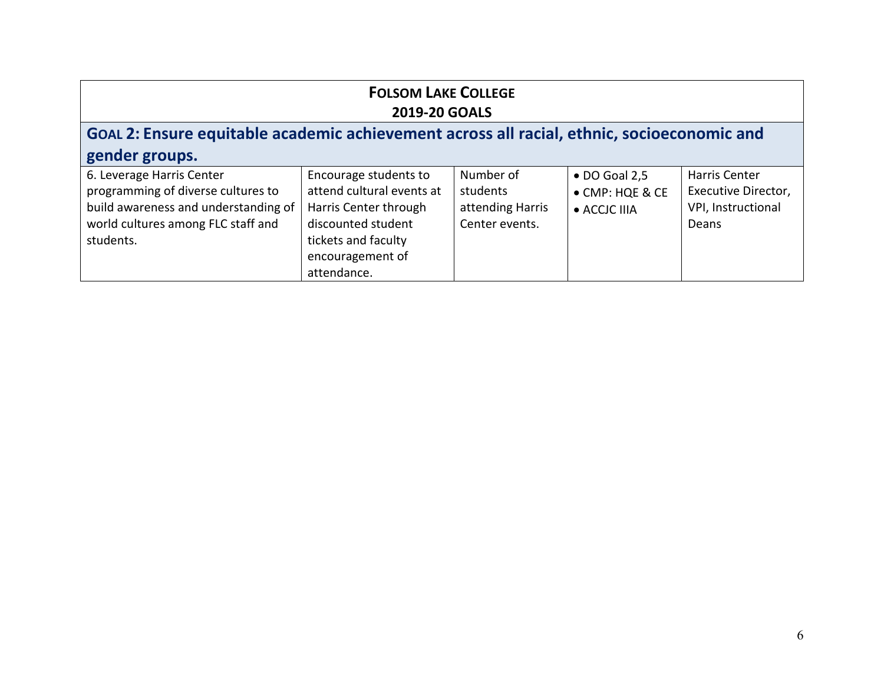| <b>FOLSOM LAKE COLLEGE</b><br><b>2019-20 GOALS</b>                                                                                                         |                                                                                                                                                             |                                                             |                                                          |                                                                     |
|------------------------------------------------------------------------------------------------------------------------------------------------------------|-------------------------------------------------------------------------------------------------------------------------------------------------------------|-------------------------------------------------------------|----------------------------------------------------------|---------------------------------------------------------------------|
| GOAL 2: Ensure equitable academic achievement across all racial, ethnic, socioeconomic and                                                                 |                                                                                                                                                             |                                                             |                                                          |                                                                     |
| gender groups.                                                                                                                                             |                                                                                                                                                             |                                                             |                                                          |                                                                     |
| 6. Leverage Harris Center<br>programming of diverse cultures to<br>build awareness and understanding of<br>world cultures among FLC staff and<br>students. | Encourage students to<br>attend cultural events at<br>Harris Center through<br>discounted student<br>tickets and faculty<br>encouragement of<br>attendance. | Number of<br>students<br>attending Harris<br>Center events. | $\bullet$ DO Goal 2,5<br>• CMP: HQE & CE<br>• ACCJC IIIA | Harris Center<br>Executive Director,<br>VPI, Instructional<br>Deans |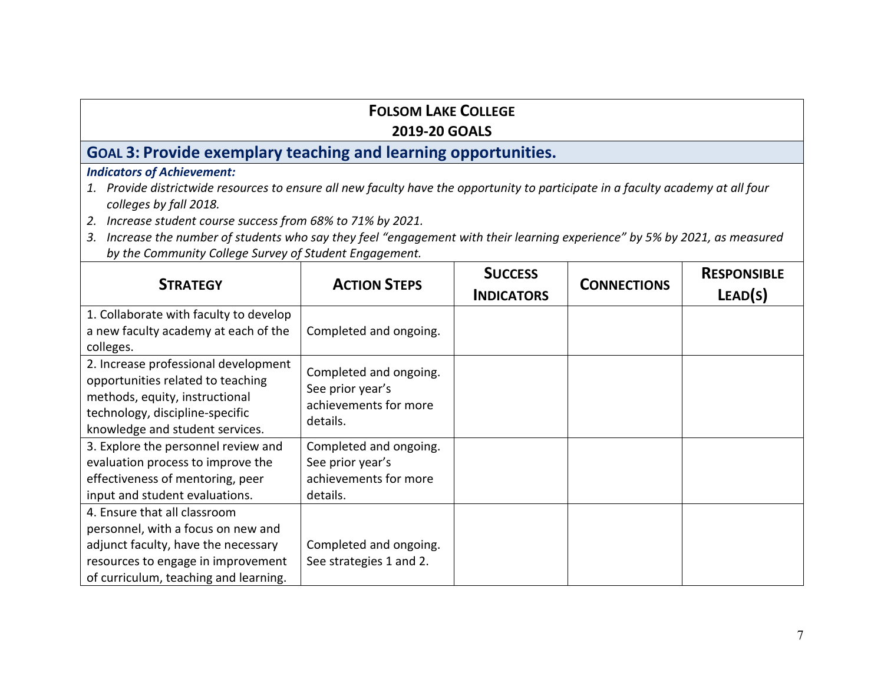### **FOLSOM LAKE COLLEGE**

#### **2019-20 GOALS**

## **GOAL 3: Provide exemplary teaching and learning opportunities.**

- *1. Provide districtwide resources to ensure all new faculty have the opportunity to participate in a faculty academy at all four colleges by fall 2018.*
- *2. Increase student course success from 68% to 71% by 2021.*
- *3. Increase the number of students who say they feel "engagement with their learning experience" by 5% by 2021, as measured by the Community College Survey of Student Engagement.*

| <b>STRATEGY</b>                                                                                                                                                                          | <b>ACTION STEPS</b>                                                             | <b>SUCCESS</b><br><b>INDICATORS</b> | <b>CONNECTIONS</b> | <b>RESPONSIBLE</b><br>LEAD(S) |
|------------------------------------------------------------------------------------------------------------------------------------------------------------------------------------------|---------------------------------------------------------------------------------|-------------------------------------|--------------------|-------------------------------|
| 1. Collaborate with faculty to develop<br>a new faculty academy at each of the<br>colleges.                                                                                              | Completed and ongoing.                                                          |                                     |                    |                               |
| 2. Increase professional development<br>opportunities related to teaching<br>methods, equity, instructional<br>technology, discipline-specific<br>knowledge and student services.        | Completed and ongoing.<br>See prior year's<br>achievements for more<br>details. |                                     |                    |                               |
| 3. Explore the personnel review and<br>evaluation process to improve the<br>effectiveness of mentoring, peer<br>input and student evaluations.                                           | Completed and ongoing.<br>See prior year's<br>achievements for more<br>details. |                                     |                    |                               |
| 4. Ensure that all classroom<br>personnel, with a focus on new and<br>adjunct faculty, have the necessary<br>resources to engage in improvement<br>of curriculum, teaching and learning. | Completed and ongoing.<br>See strategies 1 and 2.                               |                                     |                    |                               |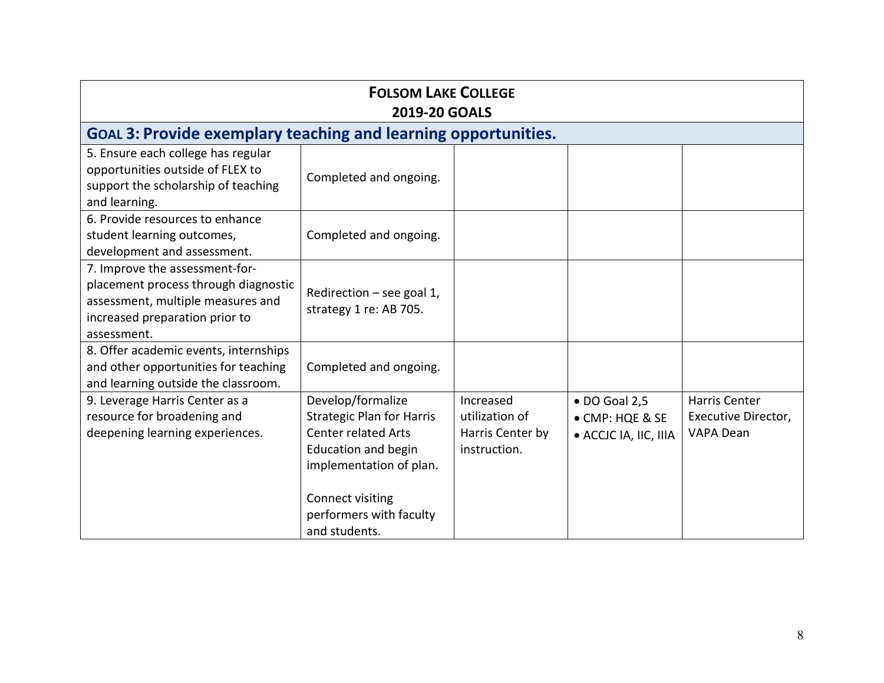| <b>FOLSOM LAKE COLLEGE</b><br><b>2019-20 GOALS</b>                                                                                                           |                                                                                                                                                                                                              |                                                                 |                                                                   |                                                   |
|--------------------------------------------------------------------------------------------------------------------------------------------------------------|--------------------------------------------------------------------------------------------------------------------------------------------------------------------------------------------------------------|-----------------------------------------------------------------|-------------------------------------------------------------------|---------------------------------------------------|
| <b>GOAL 3: Provide exemplary teaching and learning opportunities.</b>                                                                                        |                                                                                                                                                                                                              |                                                                 |                                                                   |                                                   |
| 5. Ensure each college has regular<br>opportunities outside of FLEX to<br>support the scholarship of teaching<br>and learning.                               | Completed and ongoing.                                                                                                                                                                                       |                                                                 |                                                                   |                                                   |
| 6. Provide resources to enhance<br>student learning outcomes,<br>development and assessment.                                                                 | Completed and ongoing.                                                                                                                                                                                       |                                                                 |                                                                   |                                                   |
| 7. Improve the assessment-for-<br>placement process through diagnostic<br>assessment, multiple measures and<br>increased preparation prior to<br>assessment. | Redirection - see goal 1,<br>strategy 1 re: AB 705.                                                                                                                                                          |                                                                 |                                                                   |                                                   |
| 8. Offer academic events, internships<br>and other opportunities for teaching<br>and learning outside the classroom.                                         | Completed and ongoing.                                                                                                                                                                                       |                                                                 |                                                                   |                                                   |
| 9. Leverage Harris Center as a<br>resource for broadening and<br>deepening learning experiences.                                                             | Develop/formalize<br><b>Strategic Plan for Harris</b><br><b>Center related Arts</b><br><b>Education and begin</b><br>implementation of plan.<br>Connect visiting<br>performers with faculty<br>and students. | Increased<br>utilization of<br>Harris Center by<br>instruction. | $\bullet$ DO Goal 2,5<br>• CMP: HQE & SE<br>· ACCJC IA, IIC, IIIA | Harris Center<br>Executive Director,<br>VAPA Dean |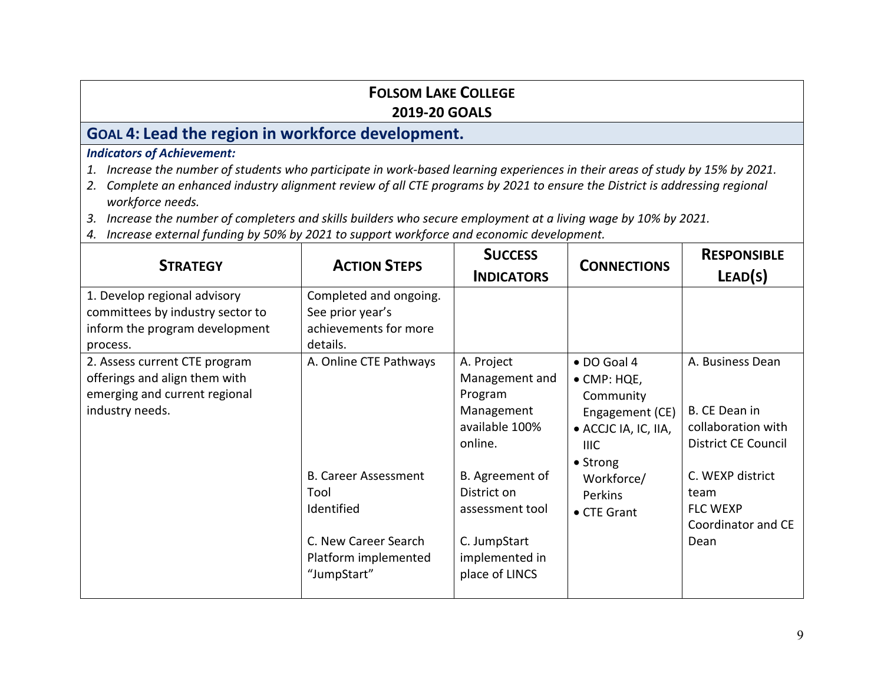## **GOAL 4: Lead the region in workforce development.**

- *1. Increase the number of students who participate in work-based learning experiences in their areas of study by 15% by 2021.*
- *2. Complete an enhanced industry alignment review of all CTE programs by 2021 to ensure the District is addressing regional workforce needs.*
- *3. Increase the number of completers and skills builders who secure employment at a living wage by 10% by 2021.*
- *4. Increase external funding by 50% by 2021 to support workforce and economic development.*

| <b>STRATEGY</b>                                                                                                    | <b>ACTION STEPS</b>                                                                                                                        | <b>SUCCESS</b><br><b>INDICATORS</b>                                                                                                                                                         | <b>CONNECTIONS</b>                                                                                                                                             | <b>RESPONSIBLE</b><br>LEAD(S)                                                                                                                                      |
|--------------------------------------------------------------------------------------------------------------------|--------------------------------------------------------------------------------------------------------------------------------------------|---------------------------------------------------------------------------------------------------------------------------------------------------------------------------------------------|----------------------------------------------------------------------------------------------------------------------------------------------------------------|--------------------------------------------------------------------------------------------------------------------------------------------------------------------|
| 1. Develop regional advisory<br>committees by industry sector to<br>inform the program development<br>process.     | Completed and ongoing.<br>See prior year's<br>achievements for more<br>details.                                                            |                                                                                                                                                                                             |                                                                                                                                                                |                                                                                                                                                                    |
| 2. Assess current CTE program<br>offerings and align them with<br>emerging and current regional<br>industry needs. | A. Online CTE Pathways<br><b>B. Career Assessment</b><br>Tool<br>Identified<br>C. New Career Search<br>Platform implemented<br>"JumpStart" | A. Project<br>Management and<br>Program<br>Management<br>available 100%<br>online.<br>B. Agreement of<br>District on<br>assessment tool<br>C. JumpStart<br>implemented in<br>place of LINCS | · DO Goal 4<br>$\bullet$ CMP: HQE,<br>Community<br>Engagement (CE)<br>• ACCJC IA, IC, IIA,<br>IIIC.<br>• Strong<br>Workforce/<br><b>Perkins</b><br>• CTE Grant | A. Business Dean<br>B. CE Dean in<br>collaboration with<br><b>District CE Council</b><br>C. WEXP district<br>team<br><b>FLC WEXP</b><br>Coordinator and CE<br>Dean |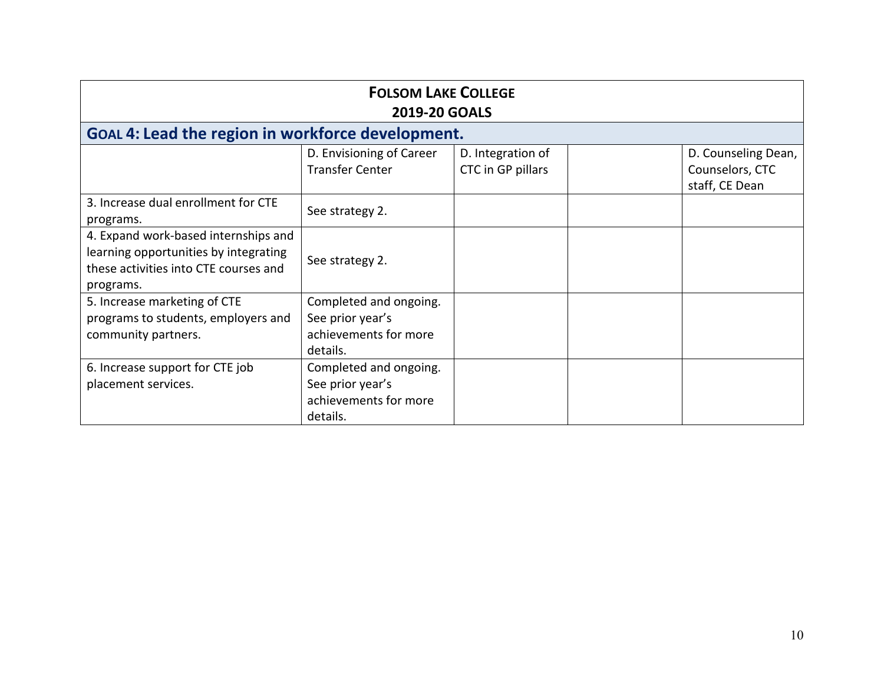| <b>FOLSOM LAKE COLLEGE</b><br><b>2019-20 GOALS</b>                                                                                  |                                                                                 |                                        |  |                                                          |
|-------------------------------------------------------------------------------------------------------------------------------------|---------------------------------------------------------------------------------|----------------------------------------|--|----------------------------------------------------------|
| GOAL 4: Lead the region in workforce development.                                                                                   |                                                                                 |                                        |  |                                                          |
|                                                                                                                                     | D. Envisioning of Career<br><b>Transfer Center</b>                              | D. Integration of<br>CTC in GP pillars |  | D. Counseling Dean,<br>Counselors, CTC<br>staff, CE Dean |
| 3. Increase dual enrollment for CTE<br>programs.                                                                                    | See strategy 2.                                                                 |                                        |  |                                                          |
| 4. Expand work-based internships and<br>learning opportunities by integrating<br>these activities into CTE courses and<br>programs. | See strategy 2.                                                                 |                                        |  |                                                          |
| 5. Increase marketing of CTE<br>programs to students, employers and<br>community partners.                                          | Completed and ongoing.<br>See prior year's<br>achievements for more<br>details. |                                        |  |                                                          |
| 6. Increase support for CTE job<br>placement services.                                                                              | Completed and ongoing.<br>See prior year's<br>achievements for more<br>details. |                                        |  |                                                          |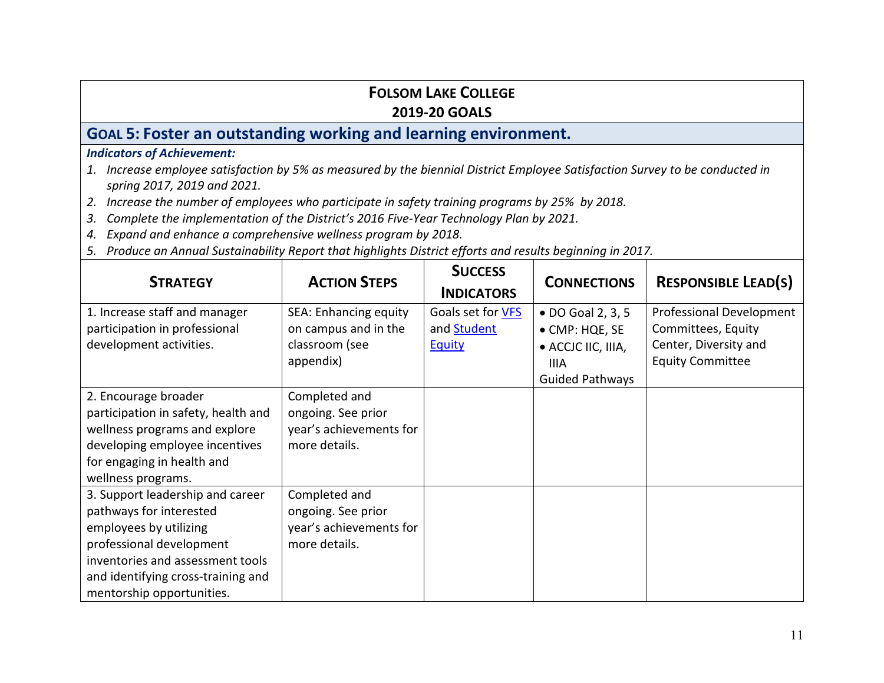# **GOAL 5: Foster an outstanding working and learning environment.**

- *1. Increase employee satisfaction by 5% as measured by the biennial District Employee Satisfaction Survey to be conducted in spring 2017, 2019 and 2021.*
- *2. Increase the number of employees who participate in safety training programs by 25% by 2018.*
- *3. Complete the implementation of the District's 2016 Five-Year Technology Plan by 2021.*
- *4. Expand and enhance a comprehensive wellness program by 2018.*
- *5. Produce an Annual Sustainability Report that highlights District efforts and results beginning in 2017.*

| <b>STRATEGY</b>                     | <b>ACTION STEPS</b>     | <b>SUCCESS</b>     | <b>CONNECTIONS</b>     | <b>RESPONSIBLE LEAD(S)</b> |
|-------------------------------------|-------------------------|--------------------|------------------------|----------------------------|
|                                     |                         | <b>INDICATORS</b>  |                        |                            |
| 1. Increase staff and manager       | SEA: Enhancing equity   | Goals set for VFS  | • DO Goal 2, 3, 5      | Professional Development   |
| participation in professional       | on campus and in the    | and <b>Student</b> | • CMP: HQE, SE         | Committees, Equity         |
| development activities.             | classroom (see          | <b>Equity</b>      | • ACCJC IIC, IIIA,     | Center, Diversity and      |
|                                     | appendix)               |                    | <b>IIIA</b>            | <b>Equity Committee</b>    |
|                                     |                         |                    | <b>Guided Pathways</b> |                            |
| 2. Encourage broader                | Completed and           |                    |                        |                            |
| participation in safety, health and | ongoing. See prior      |                    |                        |                            |
| wellness programs and explore       | year's achievements for |                    |                        |                            |
| developing employee incentives      | more details.           |                    |                        |                            |
| for engaging in health and          |                         |                    |                        |                            |
| wellness programs.                  |                         |                    |                        |                            |
| 3. Support leadership and career    | Completed and           |                    |                        |                            |
| pathways for interested             | ongoing. See prior      |                    |                        |                            |
| employees by utilizing              | year's achievements for |                    |                        |                            |
| professional development            | more details.           |                    |                        |                            |
| inventories and assessment tools    |                         |                    |                        |                            |
| and identifying cross-training and  |                         |                    |                        |                            |
| mentorship opportunities.           |                         |                    |                        |                            |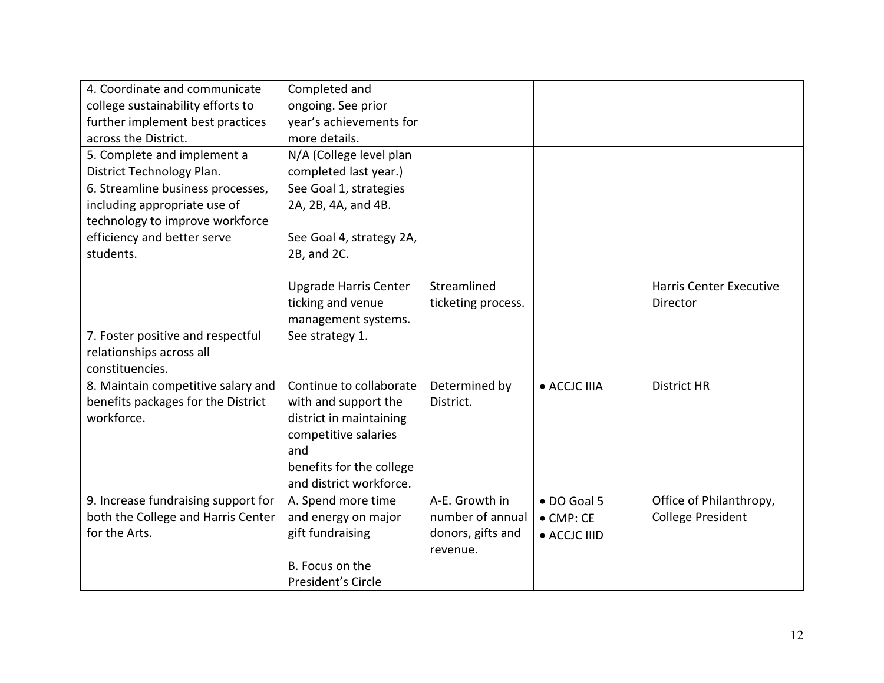| 4. Coordinate and communicate       | Completed and                |                    |                   |                                |
|-------------------------------------|------------------------------|--------------------|-------------------|--------------------------------|
| college sustainability efforts to   | ongoing. See prior           |                    |                   |                                |
| further implement best practices    | year's achievements for      |                    |                   |                                |
| across the District.                | more details.                |                    |                   |                                |
| 5. Complete and implement a         | N/A (College level plan      |                    |                   |                                |
| District Technology Plan.           | completed last year.)        |                    |                   |                                |
| 6. Streamline business processes,   | See Goal 1, strategies       |                    |                   |                                |
| including appropriate use of        | 2A, 2B, 4A, and 4B.          |                    |                   |                                |
| technology to improve workforce     |                              |                    |                   |                                |
| efficiency and better serve         | See Goal 4, strategy 2A,     |                    |                   |                                |
| students.                           | 2B, and 2C.                  |                    |                   |                                |
|                                     |                              |                    |                   |                                |
|                                     | <b>Upgrade Harris Center</b> | Streamlined        |                   | <b>Harris Center Executive</b> |
|                                     | ticking and venue            | ticketing process. |                   | Director                       |
|                                     | management systems.          |                    |                   |                                |
| 7. Foster positive and respectful   | See strategy 1.              |                    |                   |                                |
| relationships across all            |                              |                    |                   |                                |
| constituencies.                     |                              |                    |                   |                                |
| 8. Maintain competitive salary and  | Continue to collaborate      | Determined by      | • ACCJC IIIA      | <b>District HR</b>             |
| benefits packages for the District  | with and support the         | District.          |                   |                                |
| workforce.                          | district in maintaining      |                    |                   |                                |
|                                     | competitive salaries         |                    |                   |                                |
|                                     | and                          |                    |                   |                                |
|                                     | benefits for the college     |                    |                   |                                |
|                                     | and district workforce.      |                    |                   |                                |
| 9. Increase fundraising support for | A. Spend more time           | A-E. Growth in     | · DO Goal 5       | Office of Philanthropy,        |
| both the College and Harris Center  | and energy on major          | number of annual   | $\bullet$ CMP: CE | <b>College President</b>       |
| for the Arts.                       | gift fundraising             | donors, gifts and  | • ACCJC IIID      |                                |
|                                     |                              | revenue.           |                   |                                |
|                                     | B. Focus on the              |                    |                   |                                |
|                                     | President's Circle           |                    |                   |                                |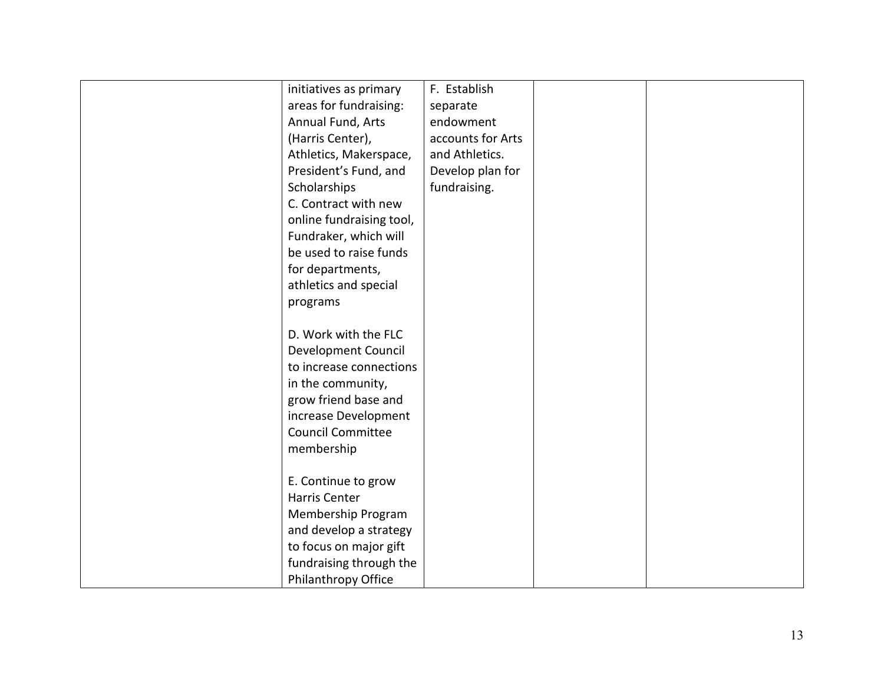| initiatives as primary   | F. Establish      |  |
|--------------------------|-------------------|--|
| areas for fundraising:   | separate          |  |
| Annual Fund, Arts        | endowment         |  |
| (Harris Center),         | accounts for Arts |  |
| Athletics, Makerspace,   | and Athletics.    |  |
| President's Fund, and    | Develop plan for  |  |
| Scholarships             | fundraising.      |  |
| C. Contract with new     |                   |  |
| online fundraising tool, |                   |  |
| Fundraker, which will    |                   |  |
| be used to raise funds   |                   |  |
| for departments,         |                   |  |
| athletics and special    |                   |  |
| programs                 |                   |  |
|                          |                   |  |
| D. Work with the FLC     |                   |  |
| Development Council      |                   |  |
| to increase connections  |                   |  |
| in the community,        |                   |  |
| grow friend base and     |                   |  |
| increase Development     |                   |  |
| <b>Council Committee</b> |                   |  |
| membership               |                   |  |
|                          |                   |  |
| E. Continue to grow      |                   |  |
| <b>Harris Center</b>     |                   |  |
| Membership Program       |                   |  |
| and develop a strategy   |                   |  |
| to focus on major gift   |                   |  |
| fundraising through the  |                   |  |
| Philanthropy Office      |                   |  |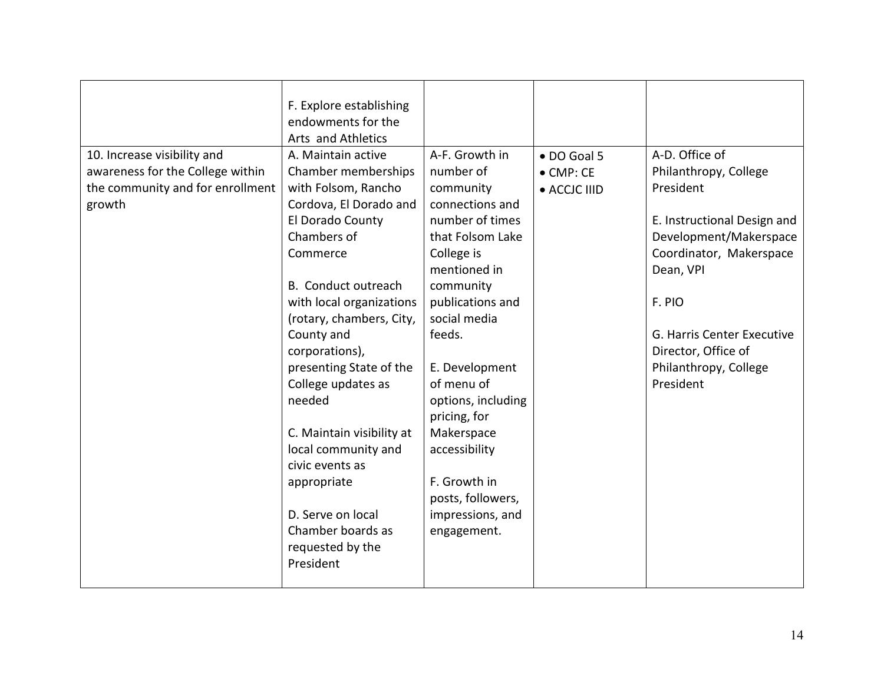|                                  | F. Explore establishing   |                    |                   |                             |
|----------------------------------|---------------------------|--------------------|-------------------|-----------------------------|
|                                  | endowments for the        |                    |                   |                             |
|                                  | Arts and Athletics        |                    |                   |                             |
| 10. Increase visibility and      | A. Maintain active        | A-F. Growth in     | · DO Goal 5       | A-D. Office of              |
| awareness for the College within | Chamber memberships       | number of          | $\bullet$ CMP: CE | Philanthropy, College       |
| the community and for enrollment | with Folsom, Rancho       | community          | • ACCJC IIID      | President                   |
| growth                           | Cordova, El Dorado and    | connections and    |                   |                             |
|                                  | El Dorado County          | number of times    |                   | E. Instructional Design and |
|                                  | Chambers of               | that Folsom Lake   |                   | Development/Makerspace      |
|                                  | Commerce                  | College is         |                   | Coordinator, Makerspace     |
|                                  |                           | mentioned in       |                   | Dean, VPI                   |
|                                  | B. Conduct outreach       | community          |                   |                             |
|                                  | with local organizations  | publications and   |                   | F. PIO                      |
|                                  | (rotary, chambers, City,  | social media       |                   |                             |
|                                  | County and                | feeds.             |                   | G. Harris Center Executive  |
|                                  | corporations),            |                    |                   | Director, Office of         |
|                                  | presenting State of the   | E. Development     |                   | Philanthropy, College       |
|                                  | College updates as        | of menu of         |                   | President                   |
|                                  | needed                    | options, including |                   |                             |
|                                  |                           | pricing, for       |                   |                             |
|                                  | C. Maintain visibility at | Makerspace         |                   |                             |
|                                  | local community and       | accessibility      |                   |                             |
|                                  | civic events as           |                    |                   |                             |
|                                  | appropriate               | F. Growth in       |                   |                             |
|                                  |                           | posts, followers,  |                   |                             |
|                                  | D. Serve on local         | impressions, and   |                   |                             |
|                                  | Chamber boards as         | engagement.        |                   |                             |
|                                  | requested by the          |                    |                   |                             |
|                                  | President                 |                    |                   |                             |
|                                  |                           |                    |                   |                             |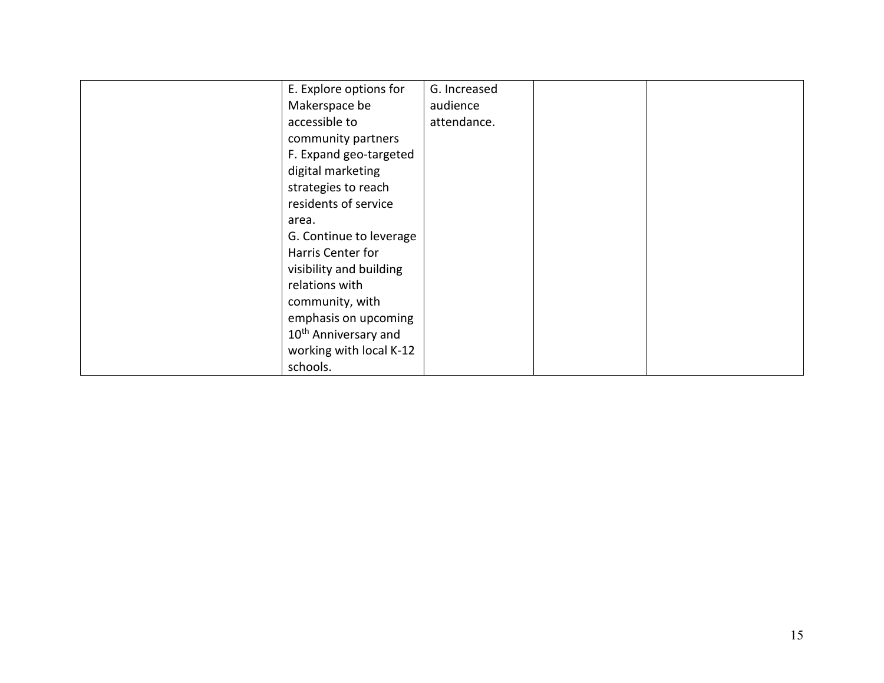| E. Explore options for           | G. Increased |  |
|----------------------------------|--------------|--|
| Makerspace be                    | audience     |  |
| accessible to                    | attendance.  |  |
| community partners               |              |  |
| F. Expand geo-targeted           |              |  |
| digital marketing                |              |  |
| strategies to reach              |              |  |
| residents of service             |              |  |
| area.                            |              |  |
| G. Continue to leverage          |              |  |
| Harris Center for                |              |  |
| visibility and building          |              |  |
| relations with                   |              |  |
| community, with                  |              |  |
| emphasis on upcoming             |              |  |
| 10 <sup>th</sup> Anniversary and |              |  |
| working with local K-12          |              |  |
| schools.                         |              |  |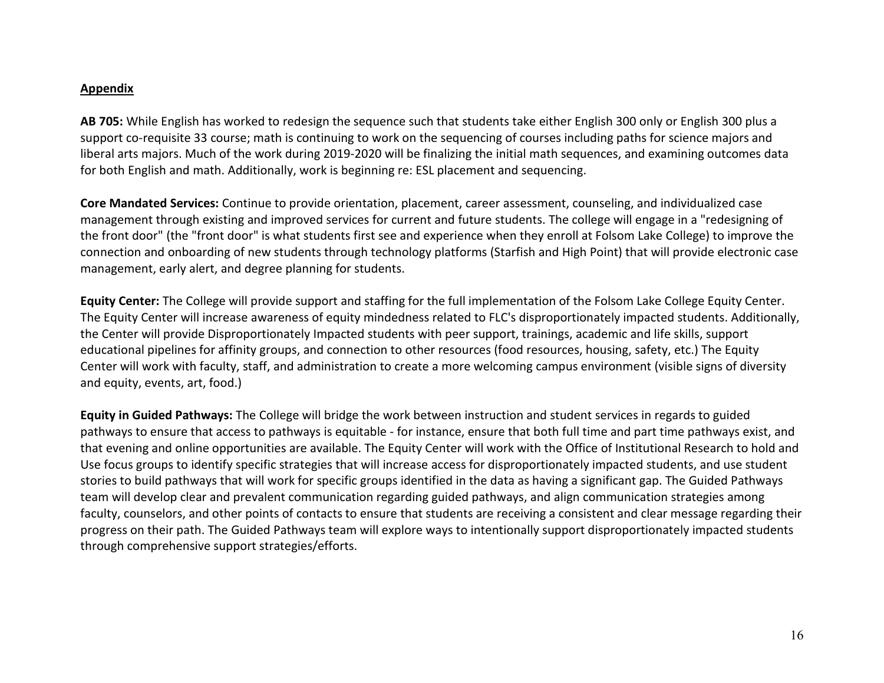#### **Appendix**

**AB 705:** While English has worked to redesign the sequence such that students take either English 300 only or English 300 plus a support co-requisite 33 course; math is continuing to work on the sequencing of courses including paths for science majors and liberal arts majors. Much of the work during 2019-2020 will be finalizing the initial math sequences, and examining outcomes data for both English and math. Additionally, work is beginning re: ESL placement and sequencing.

**Core Mandated Services:** Continue to provide orientation, placement, career assessment, counseling, and individualized case management through existing and improved services for current and future students. The college will engage in a "redesigning of the front door" (the "front door" is what students first see and experience when they enroll at Folsom Lake College) to improve the connection and onboarding of new students through technology platforms (Starfish and High Point) that will provide electronic case management, early alert, and degree planning for students.

**Equity Center:** The College will provide support and staffing for the full implementation of the Folsom Lake College Equity Center. The Equity Center will increase awareness of equity mindedness related to FLC's disproportionately impacted students. Additionally, the Center will provide Disproportionately Impacted students with peer support, trainings, academic and life skills, support educational pipelines for affinity groups, and connection to other resources (food resources, housing, safety, etc.) The Equity Center will work with faculty, staff, and administration to create a more welcoming campus environment (visible signs of diversity and equity, events, art, food.)

**Equity in Guided Pathways:** The College will bridge the work between instruction and student services in regards to guided pathways to ensure that access to pathways is equitable - for instance, ensure that both full time and part time pathways exist, and that evening and online opportunities are available. The Equity Center will work with the Office of Institutional Research to hold and Use focus groups to identify specific strategies that will increase access for disproportionately impacted students, and use student stories to build pathways that will work for specific groups identified in the data as having a significant gap. The Guided Pathways team will develop clear and prevalent communication regarding guided pathways, and align communication strategies among faculty, counselors, and other points of contacts to ensure that students are receiving a consistent and clear message regarding their progress on their path. The Guided Pathways team will explore ways to intentionally support disproportionately impacted students through comprehensive support strategies/efforts.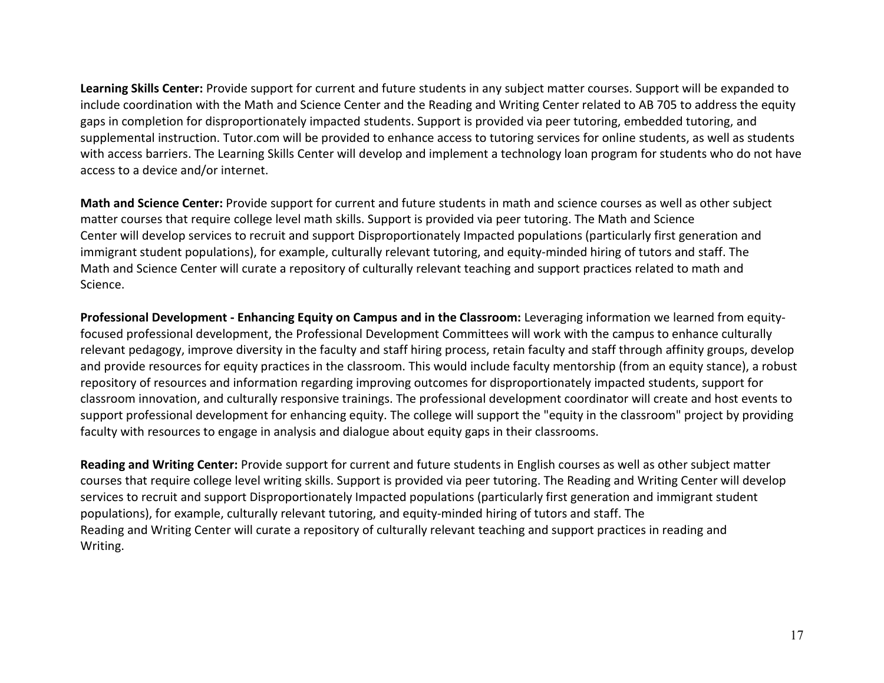**Learning Skills Center:** Provide support for current and future students in any subject matter courses. Support will be expanded to include coordination with the Math and Science Center and the Reading and Writing Center related to AB 705 to address the equity gaps in completion for disproportionately impacted students. Support is provided via peer tutoring, embedded tutoring, and supplemental instruction. Tutor.com will be provided to enhance access to tutoring services for online students, as well as students with access barriers. The Learning Skills Center will develop and implement a technology loan program for students who do not have access to a device and/or internet.

**Math and Science Center:** Provide support for current and future students in math and science courses as well as other subject matter courses that require college level math skills. Support is provided via peer tutoring. The Math and Science Center will develop services to recruit and support Disproportionately Impacted populations (particularly first generation and immigrant student populations), for example, culturally relevant tutoring, and equity-minded hiring of tutors and staff. The Math and Science Center will curate a repository of culturally relevant teaching and support practices related to math and Science.

**Professional Development - Enhancing Equity on Campus and in the Classroom:** Leveraging information we learned from equityfocused professional development, the Professional Development Committees will work with the campus to enhance culturally relevant pedagogy, improve diversity in the faculty and staff hiring process, retain faculty and staff through affinity groups, develop and provide resources for equity practices in the classroom. This would include faculty mentorship (from an equity stance), a robust repository of resources and information regarding improving outcomes for disproportionately impacted students, support for classroom innovation, and culturally responsive trainings. The professional development coordinator will create and host events to support professional development for enhancing equity. The college will support the "equity in the classroom" project by providing faculty with resources to engage in analysis and dialogue about equity gaps in their classrooms.

**Reading and Writing Center:** Provide support for current and future students in English courses as well as other subject matter courses that require college level writing skills. Support is provided via peer tutoring. The Reading and Writing Center will develop services to recruit and support Disproportionately Impacted populations (particularly first generation and immigrant student populations), for example, culturally relevant tutoring, and equity-minded hiring of tutors and staff. The Reading and Writing Center will curate a repository of culturally relevant teaching and support practices in reading and Writing.